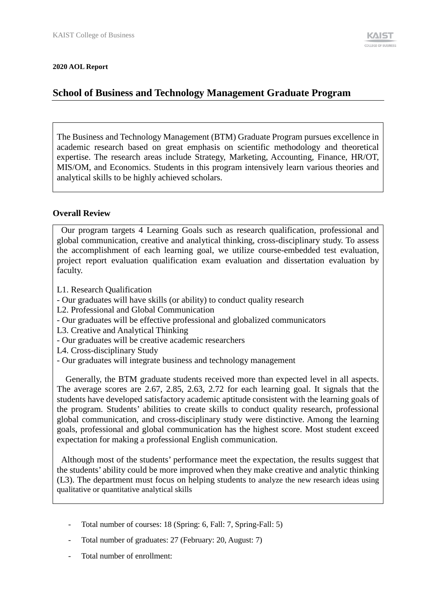#### **2020 AOL Report**

# **School of Business and Technology Management Graduate Program**

The Business and Technology Management (BTM) Graduate Program pursues excellence in academic research based on great emphasis on scientific methodology and theoretical expertise. The research areas include Strategy, Marketing, Accounting, Finance, HR/OT, MIS/OM, and Economics. Students in this program intensively learn various theories and analytical skills to be highly achieved scholars.

#### **Overall Review**

Our program targets 4 Learning Goals such as research qualification, professional and global communication, creative and analytical thinking, cross-disciplinary study. To assess the accomplishment of each learning goal, we utilize course-embedded test evaluation, project report evaluation qualification exam evaluation and dissertation evaluation by faculty.

- L1. Research Qualification
- Our graduates will have skills (or ability) to conduct quality research
- L2. Professional and Global Communication
- Our graduates will be effective professional and globalized communicators
- L3. Creative and Analytical Thinking
- Our graduates will be creative academic researchers
- L4. Cross-disciplinary Study
- Our graduates will integrate business and technology management

Generally, the BTM graduate students received more than expected level in all aspects. The average scores are 2.67, 2.85, 2.63, 2.72 for each learning goal. It signals that the students have developed satisfactory academic aptitude consistent with the learning goals of the program. Students' abilities to create skills to conduct quality research, professional global communication, and cross-disciplinary study were distinctive. Among the learning goals, professional and global communication has the highest score. Most student exceed expectation for making a professional English communication.

Although most of the students' performance meet the expectation, the results suggest that the students' ability could be more improved when they make creative and analytic thinking (L3). The department must focus on helping students to analyze the new research ideas using qualitative or quantitative analytical skills

- Total number of courses: 18 (Spring: 6, Fall: 7, Spring-Fall: 5)
- Total number of graduates: 27 (February: 20, August: 7)
- Total number of enrollment: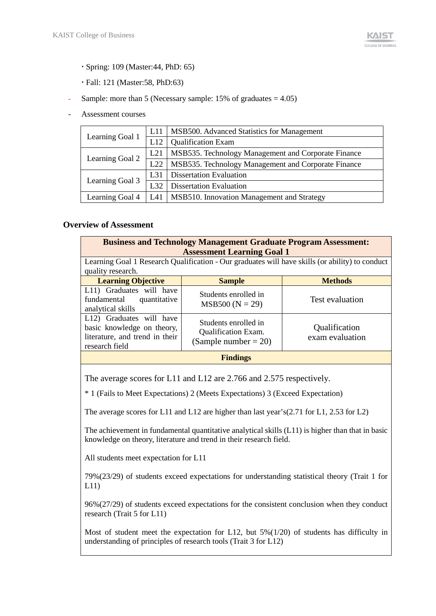- Spring: 109 (Master:44, PhD: 65)
- Fall: 121 (Master:58, PhD:63)
- Sample: more than 5 (Necessary sample:  $15\%$  of graduates =  $4.05$ )
- Assessment courses

|                 | L11             | MSB500. Advanced Statistics for Management          |
|-----------------|-----------------|-----------------------------------------------------|
| Learning Goal 1 | L12             | <b>Qualification Exam</b>                           |
| Learning Goal 2 | L <sub>21</sub> | MSB535. Technology Management and Corporate Finance |
|                 | L22             | MSB535. Technology Management and Corporate Finance |
|                 | L31             | <b>Dissertation Evaluation</b>                      |
| Learning Goal 3 | L <sub>32</sub> | <b>Dissertation Evaluation</b>                      |
| Learning Goal 4 | L41             | MSB510. Innovation Management and Strategy          |

#### **Overview of Assessment**

| <b>Business and Technology Management Graduate Program Assessment:</b><br><b>Assessment Learning Goal 1</b><br>Learning Goal 1 Research Qualification - Our graduates will have skills (or ability) to conduct<br>quality research. |                                           |                 |  |  |
|-------------------------------------------------------------------------------------------------------------------------------------------------------------------------------------------------------------------------------------|-------------------------------------------|-----------------|--|--|
| <b>Learning Objective</b>                                                                                                                                                                                                           | <b>Sample</b>                             | <b>Methods</b>  |  |  |
| L11) Graduates will have<br>fundamental<br>quantitative<br>analytical skills                                                                                                                                                        | Students enrolled in<br>$MSB500 (N = 29)$ | Test evaluation |  |  |
| L12) Graduates will have<br>Students enrolled in<br>Qualification<br>basic knowledge on theory,<br><b>Qualification Exam.</b><br>literature, and trend in their<br>exam evaluation<br>(Sample number $= 20$ )<br>research field     |                                           |                 |  |  |
| <b>Findings</b>                                                                                                                                                                                                                     |                                           |                 |  |  |
|                                                                                                                                                                                                                                     |                                           |                 |  |  |

The average scores for L11 and L12 are 2.766 and 2.575 respectively.

\* 1 (Fails to Meet Expectations) 2 (Meets Expectations) 3 (Exceed Expectation)

The average scores for L11 and L12 are higher than last year's(2.71 for L1, 2.53 for L2)

The achievement in fundamental quantitative analytical skills (L11) is higher than that in basic knowledge on theory, literature and trend in their research field.

All students meet expectation for L11

79%(23/29) of students exceed expectations for understanding statistical theory (Trait 1 for L11)

96%(27/29) of students exceed expectations for the consistent conclusion when they conduct research (Trait 5 for L11)

Most of student meet the expectation for L12, but 5%(1/20) of students has difficulty in understanding of principles of research tools (Trait 3 for L12)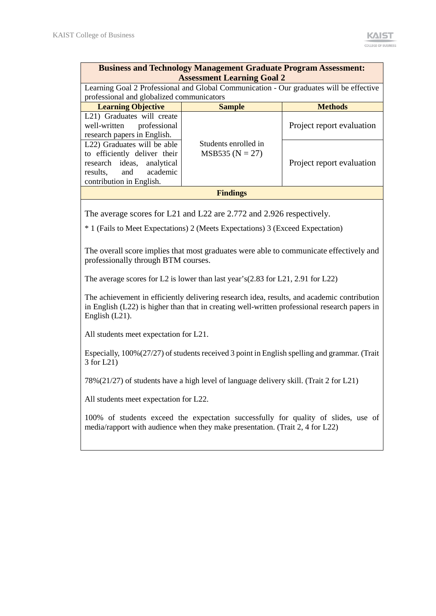| <b>Business and Technology Management Graduate Program Assessment:</b><br><b>Assessment Learning Goal 2</b>                                       |                                                                                                                                      |                           |  |  |  |
|---------------------------------------------------------------------------------------------------------------------------------------------------|--------------------------------------------------------------------------------------------------------------------------------------|---------------------------|--|--|--|
|                                                                                                                                                   | Learning Goal 2 Professional and Global Communication - Our graduates will be effective<br>professional and globalized communicators |                           |  |  |  |
| <b>Learning Objective</b>                                                                                                                         | <b>Sample</b>                                                                                                                        | <b>Methods</b>            |  |  |  |
| L <sub>21</sub> ) Graduates will create<br>well-written professional<br>research papers in English.                                               |                                                                                                                                      | Project report evaluation |  |  |  |
| L22) Graduates will be able<br>to efficiently deliver their<br>research ideas, analytical<br>academic<br>results, and<br>contribution in English. | Students enrolled in<br>$MSB535 (N = 27)$                                                                                            | Project report evaluation |  |  |  |
|                                                                                                                                                   | <b>Findings</b>                                                                                                                      |                           |  |  |  |

The average scores for L21 and L22 are 2.772 and 2.926 respectively.

\* 1 (Fails to Meet Expectations) 2 (Meets Expectations) 3 (Exceed Expectation)

The overall score implies that most graduates were able to communicate effectively and professionally through BTM courses.

The average scores for L2 is lower than last year's(2.83 for L21, 2.91 for L22)

The achievement in efficiently delivering research idea, results, and academic contribution in English (L22) is higher than that in creating well-written professional research papers in English (L21).

All students meet expectation for L21.

Especially, 100%(27/27) of students received 3 point in English spelling and grammar. (Trait 3 for L21)

78%(21/27) of students have a high level of language delivery skill. (Trait 2 for L21)

All students meet expectation for L22.

100% of students exceed the expectation successfully for quality of slides, use of media/rapport with audience when they make presentation. (Trait 2, 4 for L22)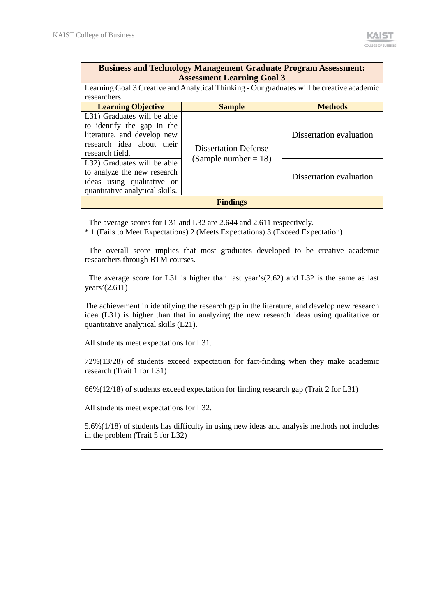| <b>Business and Technology Management Graduate Program Assessment:</b><br><b>Assessment Learning Goal 3</b>                              |                                                                                            |                         |  |  |  |  |
|------------------------------------------------------------------------------------------------------------------------------------------|--------------------------------------------------------------------------------------------|-------------------------|--|--|--|--|
| researchers                                                                                                                              | Learning Goal 3 Creative and Analytical Thinking - Our graduates will be creative academic |                         |  |  |  |  |
| <b>Learning Objective</b>                                                                                                                | <b>Sample</b>                                                                              | <b>Methods</b>          |  |  |  |  |
| L31) Graduates will be able<br>to identify the gap in the<br>literature, and develop new<br>research idea about their<br>research field. | <b>Dissertation Defense</b>                                                                | Dissertation evaluation |  |  |  |  |
| L32) Graduates will be able<br>to analyze the new research<br>ideas using qualitative or<br>quantitative analytical skills.              | (Sample number $= 18$ )                                                                    | Dissertation evaluation |  |  |  |  |
|                                                                                                                                          | <b>Findings</b>                                                                            |                         |  |  |  |  |

The average scores for L31 and L32 are 2.644 and 2.611 respectively.

\* 1 (Fails to Meet Expectations) 2 (Meets Expectations) 3 (Exceed Expectation)

The overall score implies that most graduates developed to be creative academic researchers through BTM courses.

The average score for L31 is higher than last year's(2.62) and L32 is the same as last years'(2.611)

The achievement in identifying the research gap in the literature, and develop new research idea (L31) is higher than that in analyzing the new research ideas using qualitative or quantitative analytical skills (L21).

All students meet expectations for L31.

72%(13/28) of students exceed expectation for fact-finding when they make academic research (Trait 1 for L31)

66%(12/18) of students exceed expectation for finding research gap (Trait 2 for L31)

All students meet expectations for L32.

5.6%(1/18) of students has difficulty in using new ideas and analysis methods not includes in the problem (Trait 5 for L32)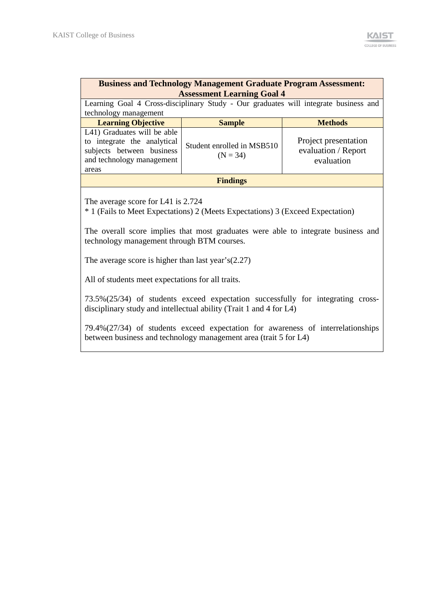| <b>Business and Technology Management Graduate Program Assessment:</b><br><b>Assessment Learning Goal 4</b>                     |                                                                                      |                                                           |  |  |  |
|---------------------------------------------------------------------------------------------------------------------------------|--------------------------------------------------------------------------------------|-----------------------------------------------------------|--|--|--|
| technology management                                                                                                           | Learning Goal 4 Cross-disciplinary Study - Our graduates will integrate business and |                                                           |  |  |  |
| <b>Learning Objective</b>                                                                                                       | <b>Sample</b>                                                                        | <b>Methods</b>                                            |  |  |  |
| L41) Graduates will be able<br>to integrate the analytical<br>subjects between business<br>and technology management<br>areas   | Student enrolled in MSB510<br>$(N = 34)$                                             | Project presentation<br>evaluation / Report<br>evaluation |  |  |  |
| <b>Findings</b>                                                                                                                 |                                                                                      |                                                           |  |  |  |
| The average score for L41 is 2.724<br><sup>*</sup> 1 (Fails to Meet Expectations) 2 (Meets Expectations) 3 (Exceed Expectation) |                                                                                      |                                                           |  |  |  |

The overall score implies that most graduates were able to integrate business and technology management through BTM courses.

The average score is higher than last year's(2.27)

All of students meet expectations for all traits.

73.5%(25/34) of students exceed expectation successfully for integrating crossdisciplinary study and intellectual ability (Trait 1 and 4 for L4)

79.4%(27/34) of students exceed expectation for awareness of interrelationships between business and technology management area (trait 5 for L4)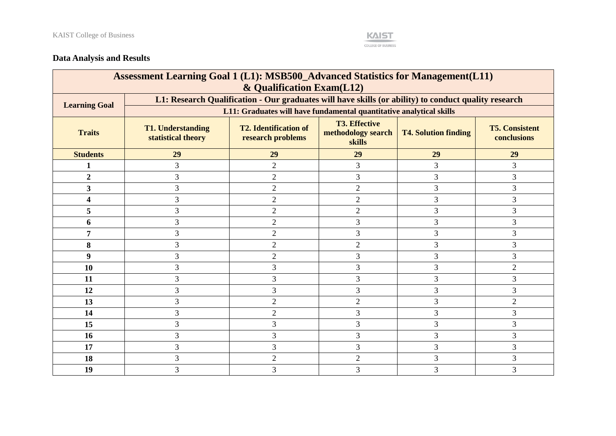

## **Data Analysis and Results**

| Assessment Learning Goal 1 (L1): MSB500_Advanced Statistics for Management(L11)<br>& Qualification Exam(L12) |                                                                                                      |                                                                                                                                                                                  |                |    |                |  |  |
|--------------------------------------------------------------------------------------------------------------|------------------------------------------------------------------------------------------------------|----------------------------------------------------------------------------------------------------------------------------------------------------------------------------------|----------------|----|----------------|--|--|
| <b>Learning Goal</b>                                                                                         | L1: Research Qualification - Our graduates will have skills (or ability) to conduct quality research |                                                                                                                                                                                  |                |    |                |  |  |
|                                                                                                              |                                                                                                      | L11: Graduates will have fundamental quantitative analytical skills                                                                                                              |                |    |                |  |  |
| <b>Traits</b>                                                                                                | <b>T1. Understanding</b><br>statistical theory                                                       | <b>T3. Effective</b><br><b>T2. Identification of</b><br><b>T5. Consistent</b><br>methodology search<br><b>T4. Solution finding</b><br>research problems<br>conclusions<br>skills |                |    |                |  |  |
| <b>Students</b>                                                                                              | 29                                                                                                   | 29                                                                                                                                                                               | 29             | 29 | 29             |  |  |
| 1                                                                                                            | 3                                                                                                    | $\overline{2}$                                                                                                                                                                   | 3              | 3  | 3              |  |  |
| $\overline{2}$                                                                                               | 3                                                                                                    | $\overline{2}$                                                                                                                                                                   | 3              | 3  | 3              |  |  |
| 3                                                                                                            | 3                                                                                                    | $\overline{2}$                                                                                                                                                                   | $\overline{2}$ | 3  | 3              |  |  |
| Δ                                                                                                            | 3                                                                                                    | $\overline{2}$                                                                                                                                                                   | $\overline{2}$ | 3  | 3              |  |  |
| 5                                                                                                            | 3                                                                                                    | $\overline{2}$                                                                                                                                                                   | $\overline{2}$ | 3  | 3              |  |  |
| 6                                                                                                            | 3                                                                                                    | $\overline{2}$                                                                                                                                                                   | 3              | 3  | 3              |  |  |
| 7                                                                                                            | 3                                                                                                    | $\overline{2}$                                                                                                                                                                   | 3              | 3  | 3              |  |  |
| 8                                                                                                            | 3                                                                                                    | $\overline{2}$                                                                                                                                                                   | $\overline{2}$ | 3  | 3              |  |  |
| 9                                                                                                            | 3                                                                                                    | $\overline{2}$                                                                                                                                                                   | 3              | 3  | 3              |  |  |
| 10                                                                                                           | 3                                                                                                    | 3                                                                                                                                                                                | 3              | 3  | $\overline{2}$ |  |  |
| 11                                                                                                           | 3                                                                                                    | 3                                                                                                                                                                                | 3              | 3  | 3              |  |  |
| 12                                                                                                           | 3                                                                                                    | 3                                                                                                                                                                                | 3              | 3  | 3              |  |  |
| 13                                                                                                           | 3                                                                                                    | $\overline{2}$                                                                                                                                                                   | $\overline{2}$ | 3  | $\overline{2}$ |  |  |
| 14                                                                                                           | 3                                                                                                    | $\overline{2}$                                                                                                                                                                   | 3              | 3  | 3              |  |  |
| 15                                                                                                           | 3                                                                                                    | 3                                                                                                                                                                                | $\overline{3}$ | 3  | 3              |  |  |
| 16                                                                                                           | 3                                                                                                    | 3                                                                                                                                                                                | 3              | 3  | 3              |  |  |
| 17                                                                                                           | 3                                                                                                    | 3                                                                                                                                                                                | 3              | 3  | 3              |  |  |
| 18                                                                                                           | 3                                                                                                    | $\overline{2}$                                                                                                                                                                   | $\overline{2}$ | 3  | 3              |  |  |
| 19                                                                                                           | 3                                                                                                    | 3                                                                                                                                                                                | 3              | 3  | 3              |  |  |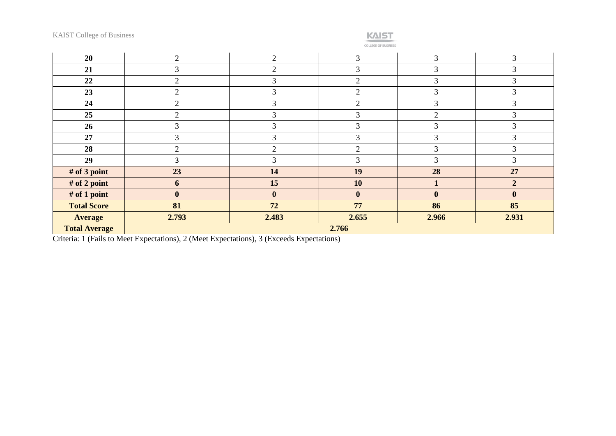

COLLEGE OF BUSINESS

| 20                   | $\overline{2}$ | 2              | 3              | 3              | ⌒<br>$\Delta$    |
|----------------------|----------------|----------------|----------------|----------------|------------------|
| 21                   | 3              | ↑              | 3              | 3              | 3                |
| 22                   | $\overline{2}$ | 3              | $\overline{2}$ | 3              | 3                |
| 23                   | $\overline{2}$ | 3              | $\overline{2}$ | 3              | 3                |
| 24                   | $\overline{2}$ | 3              | $\overline{2}$ | 3              | 3                |
| 25                   | $\overline{2}$ | 3              | 3              | $\overline{2}$ | 3                |
| 26                   | 3              | 3              | 3              | 3              | 3                |
| 27                   | 3              | 3              | 3              | 3              | 3                |
| 28                   | $\overline{2}$ | $\overline{2}$ | $\overline{2}$ | 3              | 3                |
| 29                   | 3              | 3              | 3              | 3              | 3                |
| # of 3 point         | 23             | 14             | 19             | 28             | 27               |
| # of 2 point         | 6              | 15             | 10             | $\mathbf{1}$   | $\overline{2}$   |
| $#$ of 1 point       | $\bf{0}$       | $\mathbf{0}$   | $\bf{0}$       | $\bf{0}$       | $\boldsymbol{0}$ |
| <b>Total Score</b>   | 81             | 72             | 77             | 86             | 85               |
| <b>Average</b>       | 2.793          | 2.483          | 2.655          | 2.966          | 2.931            |
| <b>Total Average</b> | 2.766          |                |                |                |                  |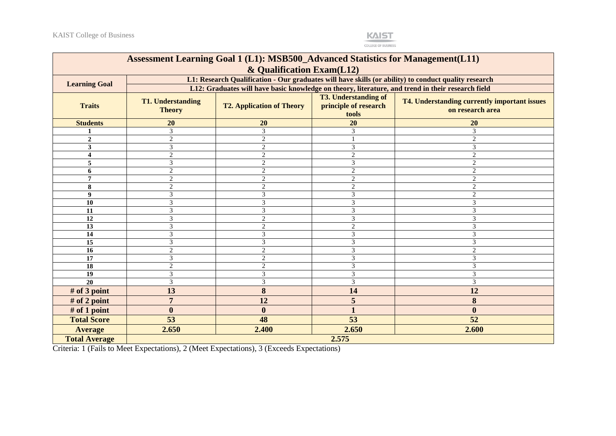

**COLLEGE OF BUSINESS** 

| Assessment Learning Goal 1 (L1): MSB500_Advanced Statistics for Management(L11) |                                                                                                                                                                                                                    |                                                                                                   |                |                |  |  |  |
|---------------------------------------------------------------------------------|--------------------------------------------------------------------------------------------------------------------------------------------------------------------------------------------------------------------|---------------------------------------------------------------------------------------------------|----------------|----------------|--|--|--|
| & Qualification Exam(L12)                                                       |                                                                                                                                                                                                                    |                                                                                                   |                |                |  |  |  |
|                                                                                 | L1: Research Qualification - Our graduates will have skills (or ability) to conduct quality research<br><b>Learning Goal</b>                                                                                       |                                                                                                   |                |                |  |  |  |
|                                                                                 |                                                                                                                                                                                                                    | L12: Graduates will have basic knowledge on theory, literature, and trend in their research field |                |                |  |  |  |
| <b>Traits</b>                                                                   | <b>T3. Understanding of</b><br>T4. Understanding currently important issues<br><b>T1. Understanding</b><br>principle of research<br><b>T2. Application of Theory</b><br>on research area<br><b>Theory</b><br>tools |                                                                                                   |                |                |  |  |  |
| <b>Students</b>                                                                 | 20                                                                                                                                                                                                                 | 20                                                                                                | 20             | 20             |  |  |  |
|                                                                                 | 3                                                                                                                                                                                                                  | 3                                                                                                 | 3              | 3              |  |  |  |
| $\overline{c}$                                                                  | $\overline{2}$                                                                                                                                                                                                     | $\mathbf{2}$                                                                                      |                | $\mathfrak{D}$ |  |  |  |
| 3                                                                               | 3                                                                                                                                                                                                                  | $\overline{2}$                                                                                    | 3              | 3              |  |  |  |
| 4                                                                               | $\overline{2}$                                                                                                                                                                                                     | $\overline{2}$                                                                                    | $\overline{c}$ |                |  |  |  |
| 5                                                                               | 3                                                                                                                                                                                                                  | $\overline{2}$                                                                                    | 3              | $\overline{c}$ |  |  |  |
| 6                                                                               | $\overline{2}$                                                                                                                                                                                                     | $\overline{2}$                                                                                    | $\overline{c}$ | $\overline{c}$ |  |  |  |
| 7                                                                               | $\overline{2}$                                                                                                                                                                                                     | 2                                                                                                 | 2              | 2              |  |  |  |
| 8                                                                               | $\mathbf{2}$                                                                                                                                                                                                       | $\overline{2}$                                                                                    | $\mathbf{2}$   | $\overline{c}$ |  |  |  |
| 9                                                                               | 3                                                                                                                                                                                                                  | 3                                                                                                 | 3              | $\overline{c}$ |  |  |  |
| 10                                                                              | 3                                                                                                                                                                                                                  | 3                                                                                                 | 3              | 3              |  |  |  |
| 11                                                                              | 3                                                                                                                                                                                                                  | 3                                                                                                 | 3              | 3              |  |  |  |
| 12                                                                              | 3                                                                                                                                                                                                                  | $\overline{2}$                                                                                    | 3              | 3              |  |  |  |
| 13                                                                              | 3                                                                                                                                                                                                                  | $\overline{2}$                                                                                    | $\mathfrak{D}$ | 3              |  |  |  |
| 14                                                                              | 3                                                                                                                                                                                                                  | 3                                                                                                 | 3              | 3              |  |  |  |
| 15                                                                              | 3                                                                                                                                                                                                                  | 3                                                                                                 | 3              | 3              |  |  |  |
| 16                                                                              | $\overline{2}$                                                                                                                                                                                                     | $\overline{2}$                                                                                    | 3              | 2              |  |  |  |
| 17                                                                              | 3                                                                                                                                                                                                                  | $\overline{2}$                                                                                    | 3              | 3              |  |  |  |
| 18                                                                              | $\overline{2}$                                                                                                                                                                                                     | $\overline{2}$                                                                                    | 3              | 3              |  |  |  |
| 19                                                                              | 3                                                                                                                                                                                                                  | 3                                                                                                 | 3              | 3              |  |  |  |
| 20                                                                              | 3                                                                                                                                                                                                                  | 3                                                                                                 | 3              | 3              |  |  |  |
| # of 3 point                                                                    | 13                                                                                                                                                                                                                 | 8                                                                                                 | 14             | 12             |  |  |  |
| # of 2 point                                                                    | $\overline{7}$                                                                                                                                                                                                     | 12                                                                                                | 5              | 8              |  |  |  |
| # of 1 point                                                                    | $\boldsymbol{0}$                                                                                                                                                                                                   | $\boldsymbol{0}$                                                                                  | 1              | $\bf{0}$       |  |  |  |
| <b>Total Score</b>                                                              | 53                                                                                                                                                                                                                 | 48                                                                                                | 53             | 52             |  |  |  |
| <b>Average</b>                                                                  | 2.650                                                                                                                                                                                                              | 2.400                                                                                             | 2.650          | 2.600          |  |  |  |
| <b>Total Average</b>                                                            | 2.575                                                                                                                                                                                                              |                                                                                                   |                |                |  |  |  |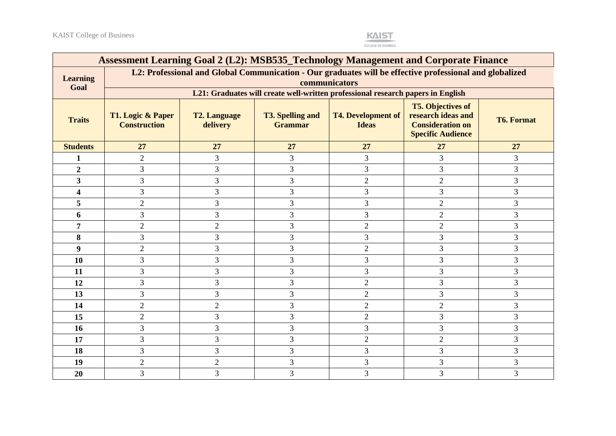

| Assessment Learning Goal 2 (L2): MSB535_Technology Management and Corporate Finance |                                                                                                                                                                                                                                                                                                     |                |    |                                                                                 |                |                |  |
|-------------------------------------------------------------------------------------|-----------------------------------------------------------------------------------------------------------------------------------------------------------------------------------------------------------------------------------------------------------------------------------------------------|----------------|----|---------------------------------------------------------------------------------|----------------|----------------|--|
| <b>Learning</b><br>Goal                                                             | L2: Professional and Global Communication - Our graduates will be effective professional and globalized<br>communicators                                                                                                                                                                            |                |    |                                                                                 |                |                |  |
|                                                                                     |                                                                                                                                                                                                                                                                                                     |                |    | L21: Graduates will create well-written professional research papers in English |                |                |  |
| <b>Traits</b>                                                                       | <b>T5. Objectives of</b><br><b>T4. Development of</b><br>research ideas and<br>T1. Logic & Paper<br><b>T2. Language</b><br><b>T3. Spelling and</b><br><b>T6. Format</b><br><b>Consideration on</b><br><b>Construction</b><br><b>Grammar</b><br><b>Ideas</b><br>delivery<br><b>Specific Audience</b> |                |    |                                                                                 |                |                |  |
| <b>Students</b>                                                                     | 27                                                                                                                                                                                                                                                                                                  | 27             | 27 | 27                                                                              | 27             | 27             |  |
| 1                                                                                   | $\sqrt{2}$                                                                                                                                                                                                                                                                                          | 3              | 3  | 3                                                                               | 3              | 3              |  |
| $\overline{2}$                                                                      | 3                                                                                                                                                                                                                                                                                                   | 3              | 3  | 3                                                                               | $\overline{3}$ | 3              |  |
| 3 <sup>1</sup>                                                                      | 3                                                                                                                                                                                                                                                                                                   | 3              | 3  | $\overline{2}$                                                                  | $\overline{2}$ | $\overline{3}$ |  |
| 4                                                                                   | 3                                                                                                                                                                                                                                                                                                   | 3              | 3  | 3                                                                               | 3              | 3              |  |
| 5                                                                                   | $\overline{2}$                                                                                                                                                                                                                                                                                      | $\overline{3}$ | 3  | 3                                                                               | $\overline{2}$ | 3              |  |
| 6                                                                                   | 3                                                                                                                                                                                                                                                                                                   | 3              | 3  | $\mathfrak{Z}$                                                                  | $\overline{2}$ | 3              |  |
| 7                                                                                   | $\overline{2}$                                                                                                                                                                                                                                                                                      | $\overline{2}$ | 3  | $\overline{2}$                                                                  | $\overline{2}$ | 3              |  |
| 8                                                                                   | 3                                                                                                                                                                                                                                                                                                   | 3              | 3  | 3                                                                               | $\overline{3}$ | 3              |  |
| 9                                                                                   | $\overline{2}$                                                                                                                                                                                                                                                                                      | 3              | 3  | $\overline{2}$                                                                  | 3              | 3              |  |
| 10                                                                                  | 3                                                                                                                                                                                                                                                                                                   | 3              | 3  | 3                                                                               | 3              | 3              |  |
| 11                                                                                  | 3                                                                                                                                                                                                                                                                                                   | 3              | 3  | 3                                                                               | $\overline{3}$ | $\overline{3}$ |  |
| 12                                                                                  | 3                                                                                                                                                                                                                                                                                                   | 3              | 3  | $\overline{2}$                                                                  | $\overline{3}$ | 3              |  |
| 13                                                                                  | 3                                                                                                                                                                                                                                                                                                   | 3              | 3  | $\overline{2}$                                                                  | 3              | 3              |  |
| 14                                                                                  | $\overline{2}$                                                                                                                                                                                                                                                                                      | $\overline{2}$ | 3  | $\overline{2}$                                                                  | $\overline{2}$ | 3              |  |
| 15                                                                                  | $\overline{2}$                                                                                                                                                                                                                                                                                      | 3              | 3  | $\overline{2}$                                                                  | 3              | 3              |  |
| <b>16</b>                                                                           | 3                                                                                                                                                                                                                                                                                                   | $\overline{3}$ | 3  | 3                                                                               | $\overline{3}$ | $\overline{3}$ |  |
| 17                                                                                  | 3                                                                                                                                                                                                                                                                                                   | 3              | 3  | $\overline{2}$                                                                  | $\overline{2}$ | 3              |  |
| 18                                                                                  | 3                                                                                                                                                                                                                                                                                                   | 3              | 3  | 3                                                                               | $\overline{3}$ | 3              |  |
| 19                                                                                  | $\overline{2}$                                                                                                                                                                                                                                                                                      | $\overline{2}$ | 3  | 3                                                                               | 3              | 3              |  |
| 20                                                                                  | 3                                                                                                                                                                                                                                                                                                   | 3              | 3  | 3                                                                               | 3              | 3              |  |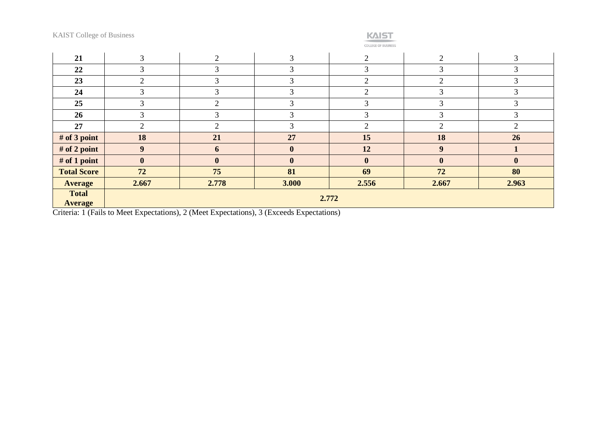### KAIST

**COLLEGE OF BUSINESS** 

| 21                             | 3             | ◠             | 3            | $\bigcap$      |                | 3            |
|--------------------------------|---------------|---------------|--------------|----------------|----------------|--------------|
| 22                             | 3             | 3             | 3            | $\mathcal{R}$  | 3              |              |
| 23                             | ◠             | 3             | 3            | $\overline{2}$ | 2              |              |
| 24                             | $\sim$<br>3   | 3             | 3            | $\bigcap$      | 3              | $\sim$       |
| 25                             | $\mathcal{R}$ | $\mathcal{D}$ | 3            | $\sim$         | 3              |              |
| 26                             | 3             | 3             | 3            | 3              | 3              |              |
| 27                             | ◠             | $\gamma$      | 3            | $\Omega$       | $\overline{2}$ | ◠            |
| # of 3 point                   | 18            | 21            | 27           | 15             | 18             | 26           |
| # of 2 point                   | 9             | 6             | $\bf{0}$     | 12             | 9              |              |
| # of 1 point                   | $\bf{0}$      | $\mathbf{0}$  | $\mathbf{0}$ | $\mathbf{0}$   | $\mathbf{0}$   | $\mathbf{0}$ |
| <b>Total Score</b>             | 72            | 75            | 81           | 69             | 72             | 80           |
| <b>Average</b>                 | 2.667         | 2.778         | 3.000        | 2.556          | 2.667          | 2.963        |
| <b>Total</b><br><b>Average</b> | 2.772         |               |              |                |                |              |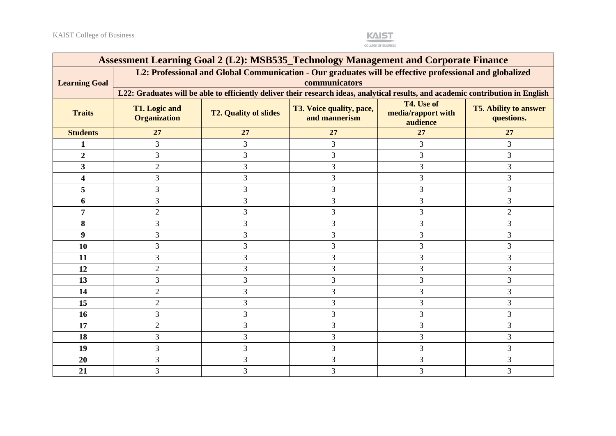

| Assessment Learning Goal 2 (L2): MSB535_Technology Management and Corporate Finance |                                                                                                                                                                                                                        |    |                |    |                |  |  |  |  |
|-------------------------------------------------------------------------------------|------------------------------------------------------------------------------------------------------------------------------------------------------------------------------------------------------------------------|----|----------------|----|----------------|--|--|--|--|
| <b>Learning Goal</b>                                                                | L2: Professional and Global Communication - Our graduates will be effective professional and globalized<br>communicators                                                                                               |    |                |    |                |  |  |  |  |
|                                                                                     | L22: Graduates will be able to efficiently deliver their research ideas, analytical results, and academic contribution in English                                                                                      |    |                |    |                |  |  |  |  |
| <b>Traits</b>                                                                       | T4. Use of<br><b>T1. Logic and</b><br>T3. Voice quality, pace,<br><b>T5. Ability to answer</b><br><b>T2. Quality of slides</b><br>media/rapport with<br><b>Organization</b><br>and mannerism<br>questions.<br>audience |    |                |    |                |  |  |  |  |
| <b>Students</b>                                                                     | 27                                                                                                                                                                                                                     | 27 | 27             | 27 | 27             |  |  |  |  |
|                                                                                     | 3                                                                                                                                                                                                                      | 3  | 3              | 3  | 3              |  |  |  |  |
| $\boldsymbol{2}$                                                                    | 3                                                                                                                                                                                                                      | 3  | 3              | 3  | 3              |  |  |  |  |
| $\mathbf{3}$                                                                        | $\overline{2}$                                                                                                                                                                                                         | 3  | 3              | 3  | 3              |  |  |  |  |
| 4                                                                                   | 3                                                                                                                                                                                                                      | 3  | 3              | 3  | 3              |  |  |  |  |
| 5                                                                                   | 3                                                                                                                                                                                                                      | 3  | 3              | 3  | 3              |  |  |  |  |
| 6                                                                                   | 3                                                                                                                                                                                                                      | 3  | 3              | 3  | 3              |  |  |  |  |
| $\overline{7}$                                                                      | $\overline{2}$                                                                                                                                                                                                         | 3  | 3              | 3  | $\overline{2}$ |  |  |  |  |
| 8                                                                                   | 3                                                                                                                                                                                                                      | 3  | 3              | 3  | 3              |  |  |  |  |
| $\boldsymbol{9}$                                                                    | 3                                                                                                                                                                                                                      | 3  | 3              | 3  | 3              |  |  |  |  |
| 10                                                                                  | 3                                                                                                                                                                                                                      | 3  | 3              | 3  | 3              |  |  |  |  |
| 11                                                                                  | 3                                                                                                                                                                                                                      | 3  | 3              | 3  | 3              |  |  |  |  |
| 12                                                                                  | $\overline{2}$                                                                                                                                                                                                         | 3  | 3              | 3  | 3              |  |  |  |  |
| 13                                                                                  | 3                                                                                                                                                                                                                      | 3  | 3              | 3  | 3              |  |  |  |  |
| 14                                                                                  | $\overline{2}$                                                                                                                                                                                                         | 3  | 3              | 3  | 3              |  |  |  |  |
| 15                                                                                  | $\overline{2}$                                                                                                                                                                                                         | 3  | 3              | 3  | 3              |  |  |  |  |
| 16                                                                                  | 3                                                                                                                                                                                                                      | 3  | 3              | 3  | 3              |  |  |  |  |
| 17                                                                                  | $\overline{2}$                                                                                                                                                                                                         | 3  | 3              | 3  | 3              |  |  |  |  |
| 18                                                                                  | 3                                                                                                                                                                                                                      | 3  | 3              | 3  | 3              |  |  |  |  |
| 19                                                                                  | 3                                                                                                                                                                                                                      | 3  | $\overline{3}$ | 3  | 3              |  |  |  |  |
| 20                                                                                  | 3                                                                                                                                                                                                                      | 3  | 3              | 3  | 3              |  |  |  |  |
| 21                                                                                  | 3                                                                                                                                                                                                                      | 3  | 3              | 3  | 3              |  |  |  |  |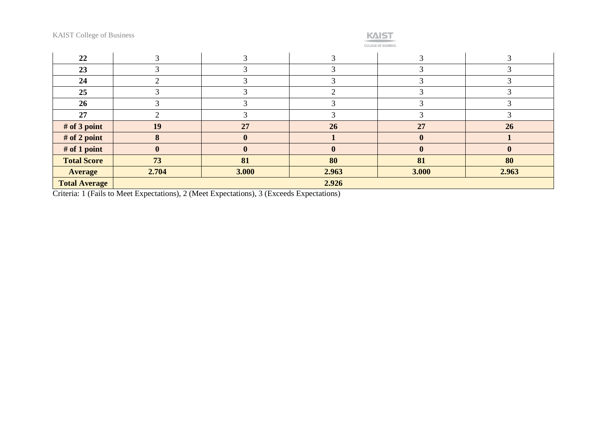### **KAIST**

COLLEGE OF BUSINESS

| 22                   |              |              |       |       |              |
|----------------------|--------------|--------------|-------|-------|--------------|
| 23                   |              |              |       |       |              |
| 24                   |              |              |       |       |              |
| 25                   |              |              |       |       |              |
| 26                   |              |              |       |       |              |
| 27                   |              |              |       |       |              |
| # of 3 point         | 19           | 27           | 26    | 27    | 26           |
| # of 2 point         |              |              |       |       |              |
| # of 1 point         | $\mathbf{0}$ | $\mathbf{0}$ | 0     |       | $\mathbf{0}$ |
| <b>Total Score</b>   | 73           | 81           | 80    | 81    | 80           |
| <b>Average</b>       | 2.704        | 3.000        | 2.963 | 3.000 | 2.963        |
| <b>Total Average</b> |              |              | 2.926 |       |              |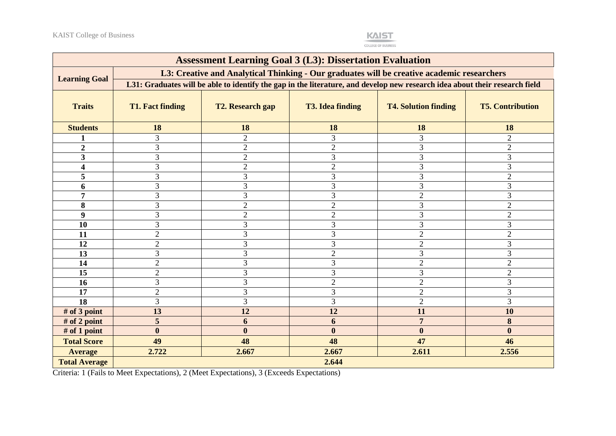

| <b>Assessment Learning Goal 3 (L3): Dissertation Evaluation</b> |                                                                                                                             |                         |                         |                             |                         |  |
|-----------------------------------------------------------------|-----------------------------------------------------------------------------------------------------------------------------|-------------------------|-------------------------|-----------------------------|-------------------------|--|
| <b>Learning Goal</b>                                            | L3: Creative and Analytical Thinking - Our graduates will be creative academic researchers                                  |                         |                         |                             |                         |  |
|                                                                 | L31: Graduates will be able to identify the gap in the literature, and develop new research idea about their research field |                         |                         |                             |                         |  |
| <b>Traits</b>                                                   | <b>T1. Fact finding</b>                                                                                                     | <b>T2. Research gap</b> | <b>T3. Idea finding</b> | <b>T4. Solution finding</b> | <b>T5. Contribution</b> |  |
| <b>Students</b>                                                 | 18                                                                                                                          | 18                      | 18                      | 18                          | 18                      |  |
|                                                                 | 3                                                                                                                           | $\overline{2}$          | 3                       | 3                           | $\mathfrak{2}$          |  |
| $\boldsymbol{2}$                                                | 3                                                                                                                           | $\overline{2}$          | $\overline{2}$          | 3                           | $\overline{2}$          |  |
| 3                                                               | 3                                                                                                                           | $\overline{2}$          | 3                       | 3                           | 3                       |  |
| $\overline{\mathbf{4}}$                                         | 3                                                                                                                           | $\overline{2}$          | $\overline{2}$          | 3                           | 3                       |  |
| 5                                                               | 3                                                                                                                           | 3                       | 3                       | 3                           | $\overline{2}$          |  |
| 6                                                               | 3                                                                                                                           | $\mathfrak{Z}$          | $\mathfrak{Z}$          | 3                           | 3                       |  |
| 7                                                               | 3                                                                                                                           | 3                       | 3                       | $\mathfrak{2}$              | 3                       |  |
| 8                                                               | 3                                                                                                                           | $\overline{2}$          | $\overline{2}$          | 3                           | $\overline{2}$          |  |
| 9                                                               | 3                                                                                                                           | $\overline{2}$          | $\overline{2}$          | 3                           | $\overline{2}$          |  |
| 10                                                              | 3                                                                                                                           | 3                       | 3                       | 3                           | 3                       |  |
| 11                                                              | $\overline{2}$                                                                                                              | 3                       | 3                       | $\overline{2}$              | $\overline{2}$          |  |
| 12                                                              | $\overline{2}$                                                                                                              | 3                       | 3                       | $\overline{2}$              | 3                       |  |
| 13                                                              | 3                                                                                                                           | 3                       | $\overline{2}$          | 3                           | 3                       |  |
| 14                                                              | $\overline{2}$                                                                                                              | 3                       | 3                       | $\overline{2}$              | $\overline{2}$          |  |
| 15                                                              | $\overline{2}$                                                                                                              | 3                       | 3                       | 3                           | $\overline{2}$          |  |
| 16                                                              | 3                                                                                                                           | 3                       | $\overline{2}$          | $\overline{2}$              | 3                       |  |
| 17                                                              | $\overline{2}$                                                                                                              | 3                       | 3                       | $\overline{2}$              | 3                       |  |
| 18                                                              | 3                                                                                                                           | 3                       | 3                       | $\overline{2}$              | 3                       |  |
| # of $3$ point                                                  | 13                                                                                                                          | 12                      | 12                      | 11                          | 10                      |  |
| # of 2 point                                                    | 5                                                                                                                           | 6                       | 6                       | $\overline{7}$              | 8                       |  |
| # of 1 point                                                    | $\boldsymbol{0}$                                                                                                            | $\boldsymbol{0}$        | $\bf{0}$                | $\boldsymbol{0}$            | $\bf{0}$                |  |
| <b>Total Score</b>                                              | 49                                                                                                                          | 48                      | 48                      | 47                          | 46                      |  |
| <b>Average</b>                                                  | 2.722                                                                                                                       | 2.667                   | 2.667                   | 2.611                       | 2.556                   |  |
| <b>Total Average</b>                                            | 2.644                                                                                                                       |                         |                         |                             |                         |  |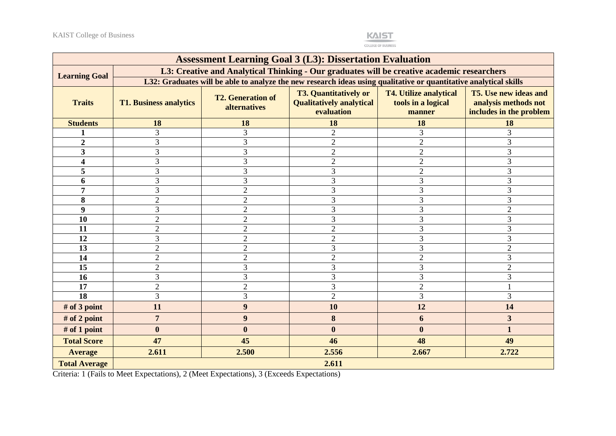

**COLLEGE OF BUSINESS** 

| <b>Assessment Learning Goal 3 (L3): Dissertation Evaluation</b> |                                                                                                                   |                                                                                            |                                                                               |                                                               |                                                                                 |
|-----------------------------------------------------------------|-------------------------------------------------------------------------------------------------------------------|--------------------------------------------------------------------------------------------|-------------------------------------------------------------------------------|---------------------------------------------------------------|---------------------------------------------------------------------------------|
|                                                                 |                                                                                                                   | L3: Creative and Analytical Thinking - Our graduates will be creative academic researchers |                                                                               |                                                               |                                                                                 |
| <b>Learning Goal</b>                                            | L32: Graduates will be able to analyze the new research ideas using qualitative or quantitative analytical skills |                                                                                            |                                                                               |                                                               |                                                                                 |
| <b>Traits</b>                                                   | <b>T1. Business analytics</b>                                                                                     | <b>T2. Generation of</b><br>alternatives                                                   | <b>T3. Quantitatively or</b><br><b>Qualitatively analytical</b><br>evaluation | <b>T4. Utilize analytical</b><br>tools in a logical<br>manner | <b>T5. Use new ideas and</b><br>analysis methods not<br>includes in the problem |
| <b>Students</b>                                                 | 18                                                                                                                | 18                                                                                         | 18                                                                            | 18                                                            | 18                                                                              |
|                                                                 | 3                                                                                                                 | 3                                                                                          | $\overline{2}$                                                                | 3                                                             | 3                                                                               |
| $\overline{2}$                                                  | 3                                                                                                                 | 3                                                                                          | $\overline{2}$                                                                | $\overline{2}$                                                | 3                                                                               |
| 3                                                               | 3                                                                                                                 | 3                                                                                          | $\overline{2}$                                                                | $\overline{2}$                                                | 3                                                                               |
| $\overline{\mathbf{4}}$                                         | $\overline{3}$                                                                                                    | 3                                                                                          | $\overline{2}$                                                                | $\overline{2}$                                                | 3                                                                               |
| 5                                                               | 3                                                                                                                 | 3                                                                                          | 3                                                                             | $\overline{2}$                                                | 3                                                                               |
| 6                                                               | 3                                                                                                                 | 3                                                                                          | 3                                                                             | 3                                                             | 3                                                                               |
| $\overline{7}$                                                  | 3                                                                                                                 | $\overline{2}$                                                                             | 3                                                                             | 3                                                             | $\overline{3}$                                                                  |
| 8                                                               | $\overline{2}$                                                                                                    | $\overline{2}$                                                                             | 3                                                                             | 3                                                             | 3                                                                               |
| 9                                                               | 3                                                                                                                 | $\overline{2}$                                                                             | 3                                                                             | 3                                                             | $\overline{2}$                                                                  |
| 10                                                              | $\overline{2}$                                                                                                    | $\overline{2}$                                                                             | 3                                                                             | 3                                                             | 3                                                                               |
| 11                                                              | $\overline{2}$                                                                                                    | $\overline{2}$                                                                             | $\overline{2}$                                                                | 3                                                             | 3                                                                               |
| 12                                                              | 3                                                                                                                 | $\overline{2}$                                                                             | $\sqrt{2}$                                                                    | 3                                                             | 3                                                                               |
| 13                                                              | $\overline{2}$                                                                                                    | $\overline{2}$                                                                             | 3                                                                             | 3                                                             | $\overline{2}$                                                                  |
| 14                                                              | $\overline{2}$                                                                                                    | $\overline{2}$                                                                             | $\overline{2}$                                                                | $\overline{2}$                                                | 3                                                                               |
| 15                                                              | $\overline{2}$                                                                                                    | 3                                                                                          | 3                                                                             | 3                                                             | $\overline{2}$                                                                  |
| 16                                                              | 3                                                                                                                 | 3                                                                                          | 3                                                                             | 3                                                             | 3                                                                               |
| 17                                                              | $\overline{2}$                                                                                                    | $\overline{2}$                                                                             | 3                                                                             | $\overline{2}$                                                |                                                                                 |
| $\overline{18}$                                                 | $\overline{3}$                                                                                                    | 3                                                                                          | $\overline{2}$                                                                | 3                                                             | 3                                                                               |
| # of 3 point                                                    | 11                                                                                                                | $\boldsymbol{9}$                                                                           | 10                                                                            | 12                                                            | 14                                                                              |
| # of 2 point                                                    | $\overline{7}$                                                                                                    | 9                                                                                          | 8                                                                             | 6                                                             | $\overline{\mathbf{3}}$                                                         |
| # of 1 point                                                    | $\boldsymbol{0}$                                                                                                  | $\boldsymbol{0}$                                                                           | $\bf{0}$                                                                      | $\bf{0}$                                                      | $\mathbf{1}$                                                                    |
| <b>Total Score</b>                                              | 47                                                                                                                | 45                                                                                         | 46                                                                            | 48                                                            | 49                                                                              |
| <b>Average</b>                                                  | 2.611                                                                                                             | 2.500                                                                                      | 2.556                                                                         | 2.667                                                         | 2.722                                                                           |
| <b>Total Average</b>                                            | 2.611                                                                                                             |                                                                                            |                                                                               |                                                               |                                                                                 |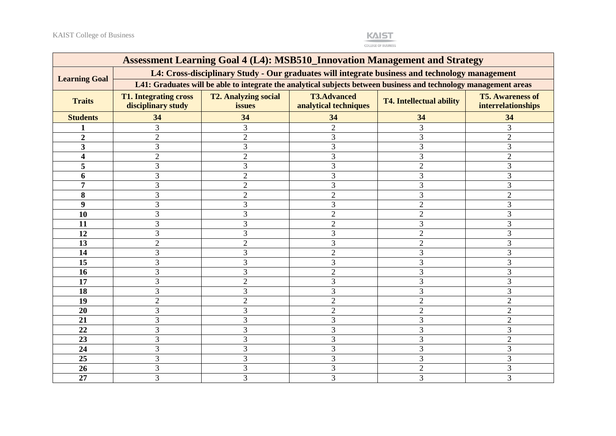

| <b>Assessment Learning Goal 4 (L4): MSB510_Innovation Management and Strategy</b>              |                                                                                                                   |                                       |                                             |                                 |                                               |
|------------------------------------------------------------------------------------------------|-------------------------------------------------------------------------------------------------------------------|---------------------------------------|---------------------------------------------|---------------------------------|-----------------------------------------------|
| L4: Cross-disciplinary Study - Our graduates will integrate business and technology management |                                                                                                                   |                                       |                                             |                                 |                                               |
| <b>Learning Goal</b>                                                                           | L41: Graduates will be able to integrate the analytical subjects between business and technology management areas |                                       |                                             |                                 |                                               |
| <b>Traits</b>                                                                                  | <b>T1. Integrating cross</b><br>disciplinary study                                                                | <b>T2. Analyzing social</b><br>issues | <b>T3.Advanced</b><br>analytical techniques | <b>T4. Intellectual ability</b> | <b>T5. Awareness of</b><br>interrelationships |
| <b>Students</b>                                                                                | 34                                                                                                                | 34                                    | 34                                          | 34                              | 34                                            |
|                                                                                                | 3                                                                                                                 | 3                                     | $\overline{2}$                              | 3                               | 3                                             |
| $\overline{2}$                                                                                 | $\overline{2}$                                                                                                    | $\overline{2}$                        | 3                                           | 3                               | $\overline{2}$                                |
| 3                                                                                              | 3                                                                                                                 | 3                                     | 3                                           | 3                               | 3                                             |
| 4                                                                                              | $\overline{2}$                                                                                                    | $\overline{2}$                        | 3                                           | 3                               | $\mathcal{D}$                                 |
| 5                                                                                              | 3                                                                                                                 | 3                                     | 3                                           | $\overline{2}$                  | 3                                             |
| 6                                                                                              | 3                                                                                                                 | $\overline{2}$                        | 3                                           | 3                               |                                               |
| 7                                                                                              | 3                                                                                                                 | $\overline{2}$                        | 3                                           | 3                               | 3                                             |
| 8                                                                                              | 3                                                                                                                 | $\overline{2}$                        | $\overline{2}$                              | 3                               | $\overline{2}$                                |
| 9                                                                                              | 3                                                                                                                 | 3                                     | 3                                           | 2                               | 3                                             |
| 10                                                                                             | 3                                                                                                                 | 3                                     | $\overline{2}$                              | $\overline{2}$                  | 3                                             |
| 11                                                                                             | 3                                                                                                                 | 3                                     | $\overline{2}$                              | 3                               | 3                                             |
| 12                                                                                             | 3                                                                                                                 | 3                                     | 3                                           | $\overline{2}$                  | 3                                             |
| 13                                                                                             | $\overline{2}$                                                                                                    | $\overline{2}$                        | 3                                           | $\overline{2}$                  | 3                                             |
| 14                                                                                             | 3                                                                                                                 | 3                                     | $\overline{2}$                              | 3                               | 3                                             |
| 15                                                                                             | 3                                                                                                                 | 3                                     | $\overline{3}$                              | 3                               | 3                                             |
| 16                                                                                             | $\overline{3}$                                                                                                    | 3                                     | $\mathcal{D}$                               | 3                               |                                               |
| 17                                                                                             | $\overline{3}$                                                                                                    | $\overline{2}$                        | 3                                           | 3                               |                                               |
| 18                                                                                             | 3                                                                                                                 | 3                                     | 3                                           | 3                               | 3                                             |
| 19                                                                                             | $\overline{2}$                                                                                                    | $\overline{2}$                        | $\overline{2}$                              | $\overline{2}$                  | $\overline{2}$                                |
| 20                                                                                             | 3                                                                                                                 | 3                                     | $\overline{2}$                              | $\overline{2}$                  | $\overline{2}$                                |
| 21                                                                                             | 3                                                                                                                 | 3                                     | 3                                           | 3                               | $\overline{2}$                                |
| 22                                                                                             | 3                                                                                                                 | 3                                     | 3                                           | 3                               | 3                                             |
| 23                                                                                             | 3                                                                                                                 | 3                                     | 3                                           | 3                               | $\overline{2}$                                |
| 24                                                                                             | 3                                                                                                                 | 3                                     | 3                                           | 3                               | 3                                             |
| 25                                                                                             | 3                                                                                                                 | 3                                     | 3                                           | 3                               | 3                                             |
| 26                                                                                             | 3                                                                                                                 | 3                                     | 3                                           | $\overline{2}$                  | 3                                             |
| 27                                                                                             | 3                                                                                                                 | 3                                     | 3                                           | 3                               | 3                                             |